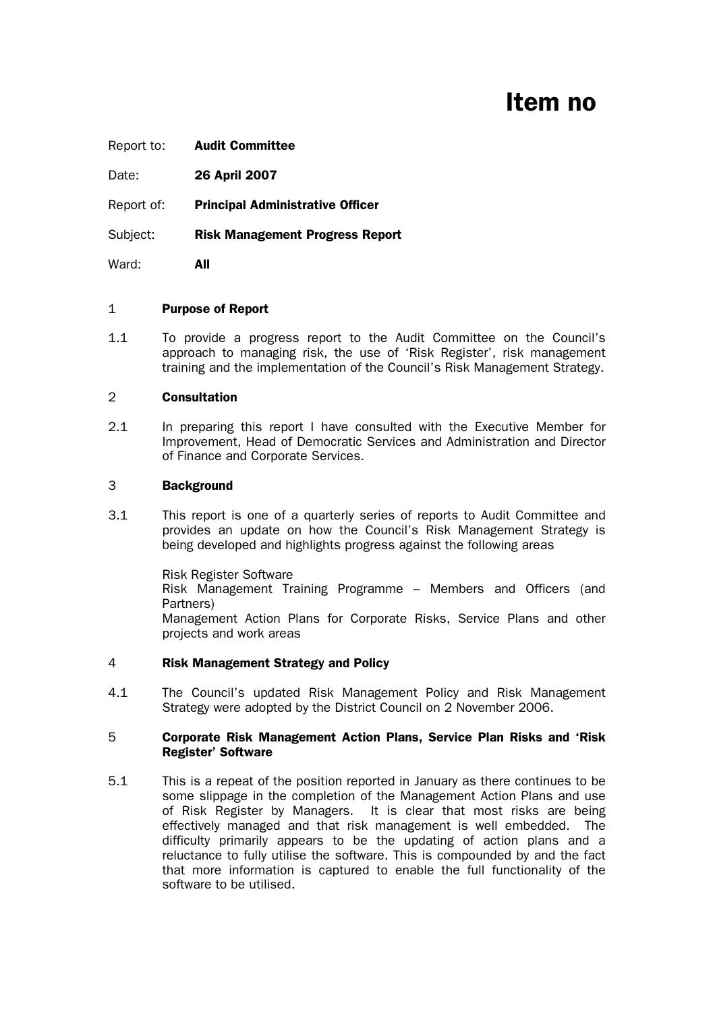# Item no

| Report to: | <b>Audit Committee</b>                  |
|------------|-----------------------------------------|
| Date:      | 26 April 2007                           |
| Report of: | <b>Principal Administrative Officer</b> |
| Subject:   | <b>Risk Management Progress Report</b>  |

Ward: **All** 

#### 1 Purpose of Report

1.1 To provide a progress report to the Audit Committee on the Council's approach to managing risk, the use of 'Risk Register', risk management training and the implementation of the Council's Risk Management Strategy.

# 2 Consultation

2.1 In preparing this report I have consulted with the Executive Member for Improvement, Head of Democratic Services and Administration and Director of Finance and Corporate Services.

# 3 Background

3.1 This report is one of a quarterly series of reports to Audit Committee and provides an update on how the Council's Risk Management Strategy is being developed and highlights progress against the following areas

> Risk Register Software Risk Management Training Programme – Members and Officers (and Partners) Management Action Plans for Corporate Risks, Service Plans and other projects and work areas

#### 4 Risk Management Strategy and Policy

4.1 The Council's updated Risk Management Policy and Risk Management Strategy were adopted by the District Council on 2 November 2006.

#### 5 Corporate Risk Management Action Plans, Service Plan Risks and 'Risk Register' Software

5.1 This is a repeat of the position reported in January as there continues to be some slippage in the completion of the Management Action Plans and use of Risk Register by Managers. It is clear that most risks are being effectively managed and that risk management is well embedded. The difficulty primarily appears to be the updating of action plans and a reluctance to fully utilise the software. This is compounded by and the fact that more information is captured to enable the full functionality of the software to be utilised.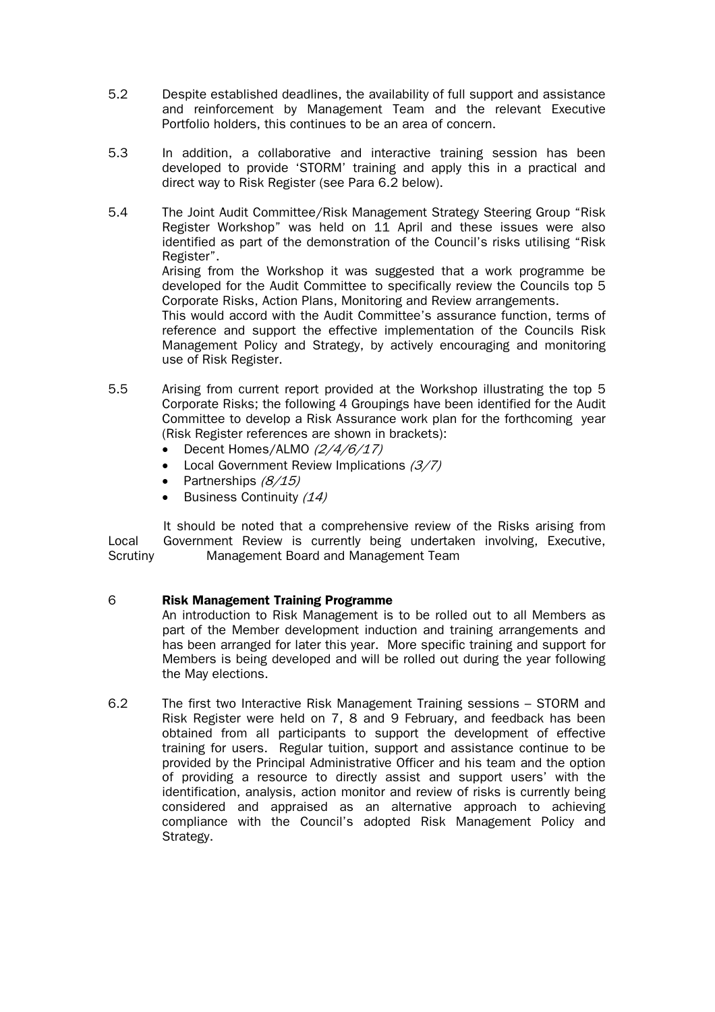- 5.2 Despite established deadlines, the availability of full support and assistance and reinforcement by Management Team and the relevant Executive Portfolio holders, this continues to be an area of concern.
- 5.3 In addition, a collaborative and interactive training session has been developed to provide 'STORM' training and apply this in a practical and direct way to Risk Register (see Para 6.2 below).
- 5.4 The Joint Audit Committee/Risk Management Strategy Steering Group "Risk Register Workshop" was held on 11 April and these issues were also identified as part of the demonstration of the Council's risks utilising "Risk Register".

Arising from the Workshop it was suggested that a work programme be developed for the Audit Committee to specifically review the Councils top 5 Corporate Risks, Action Plans, Monitoring and Review arrangements.

This would accord with the Audit Committee's assurance function, terms of reference and support the effective implementation of the Councils Risk Management Policy and Strategy, by actively encouraging and monitoring use of Risk Register.

- 5.5 Arising from current report provided at the Workshop illustrating the top 5 Corporate Risks; the following 4 Groupings have been identified for the Audit Committee to develop a Risk Assurance work plan for the forthcoming year (Risk Register references are shown in brackets):
	- Decent Homes/ALMO (2/4/6/17)
	- Local Government Review Implications  $(3/7)$
	- Partnerships  $(8/15)$
	- Business Continuity (14)

 It should be noted that a comprehensive review of the Risks arising from Local Government Review is currently being undertaken involving, Executive, Scrutiny Management Board and Management Team

# 6 Risk Management Training Programme

 An introduction to Risk Management is to be rolled out to all Members as part of the Member development induction and training arrangements and has been arranged for later this year. More specific training and support for Members is being developed and will be rolled out during the year following the May elections.

6.2 The first two Interactive Risk Management Training sessions – STORM and Risk Register were held on 7, 8 and 9 February, and feedback has been obtained from all participants to support the development of effective training for users. Regular tuition, support and assistance continue to be provided by the Principal Administrative Officer and his team and the option of providing a resource to directly assist and support users' with the identification, analysis, action monitor and review of risks is currently being considered and appraised as an alternative approach to achieving compliance with the Council's adopted Risk Management Policy and Strategy.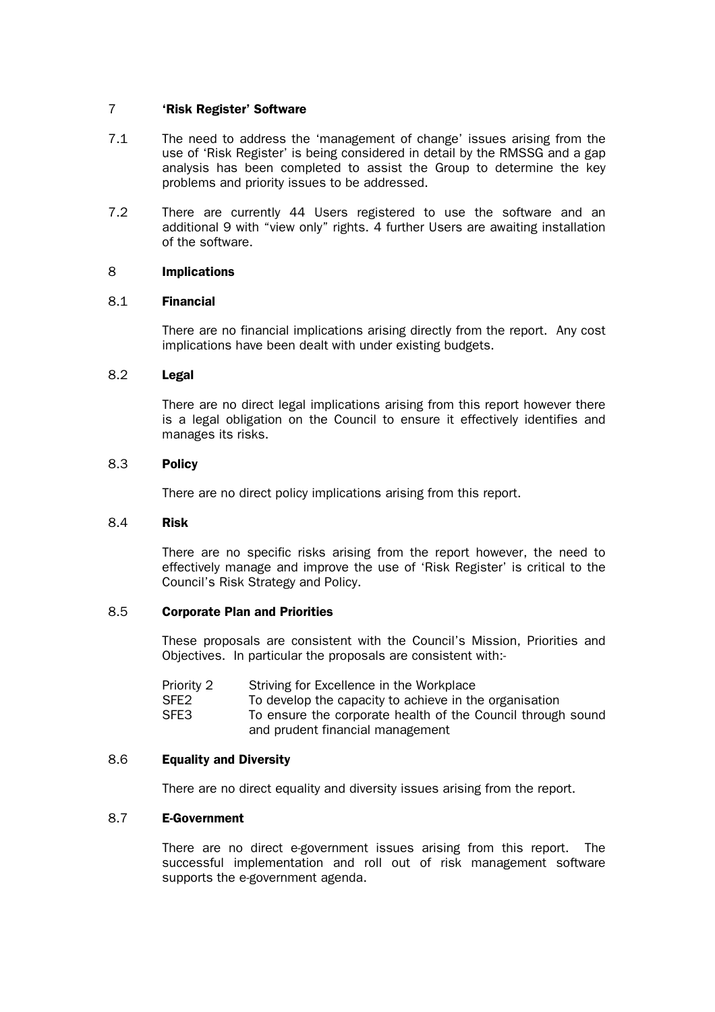#### 7 'Risk Register' Software

- 7.1 The need to address the 'management of change' issues arising from the use of 'Risk Register' is being considered in detail by the RMSSG and a gap analysis has been completed to assist the Group to determine the key problems and priority issues to be addressed.
- 7.2 There are currently 44 Users registered to use the software and an additional 9 with "view only" rights. 4 further Users are awaiting installation of the software.

# 8 Implications

# 8.1 Financial

 There are no financial implications arising directly from the report. Any cost implications have been dealt with under existing budgets.

# 8.2 Legal

 There are no direct legal implications arising from this report however there is a legal obligation on the Council to ensure it effectively identifies and manages its risks.

# 8.3 Policy

There are no direct policy implications arising from this report.

#### 8.4 Risk

 There are no specific risks arising from the report however, the need to effectively manage and improve the use of 'Risk Register' is critical to the Council's Risk Strategy and Policy.

# 8.5 Corporate Plan and Priorities

 These proposals are consistent with the Council's Mission, Priorities and Objectives. In particular the proposals are consistent with:-

- SFE2 To develop the capacity to achieve in the organisation
- SFE3 To ensure the corporate health of the Council through sound and prudent financial management

# 8.6 Equality and Diversity

There are no direct equality and diversity issues arising from the report.

# 8.7 E-Government

 There are no direct e-government issues arising from this report. The successful implementation and roll out of risk management software supports the e-government agenda.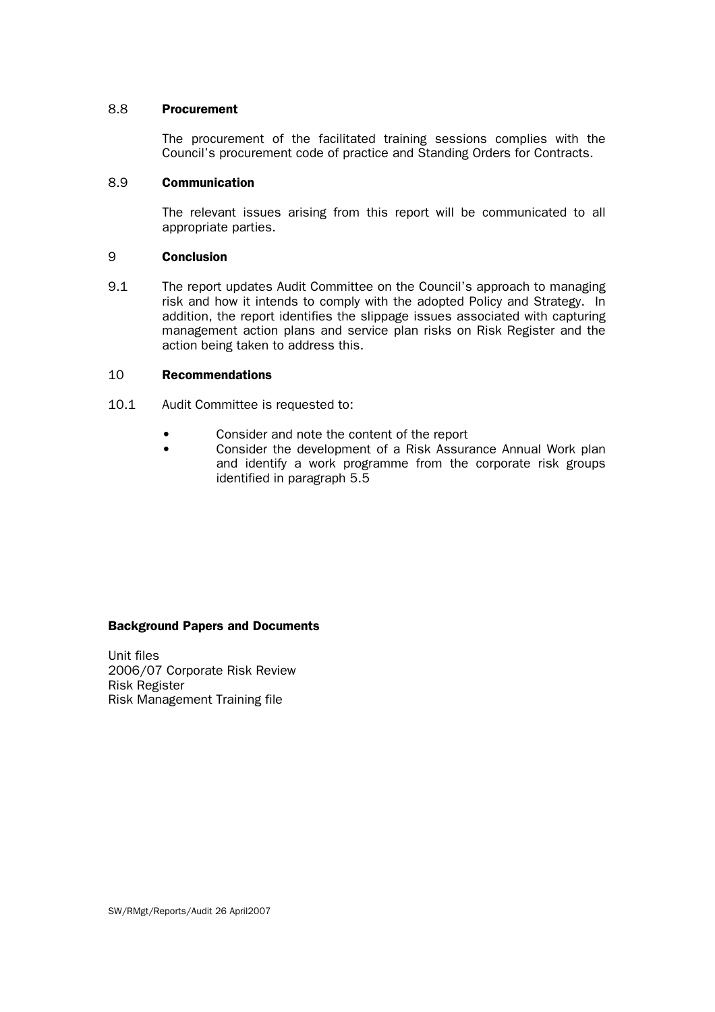#### 8.8 Procurement

 The procurement of the facilitated training sessions complies with the Council's procurement code of practice and Standing Orders for Contracts.

#### 8.9 Communication

 The relevant issues arising from this report will be communicated to all appropriate parties.

#### 9 Conclusion

9.1 The report updates Audit Committee on the Council's approach to managing risk and how it intends to comply with the adopted Policy and Strategy. In addition, the report identifies the slippage issues associated with capturing management action plans and service plan risks on Risk Register and the action being taken to address this.

#### 10 Recommendations

- 10.1 Audit Committee is requested to:
	- Consider and note the content of the report
	- Consider the development of a Risk Assurance Annual Work plan and identify a work programme from the corporate risk groups identified in paragraph 5.5

#### Background Papers and Documents

Unit files 2006/07 Corporate Risk Review Risk Register Risk Management Training file